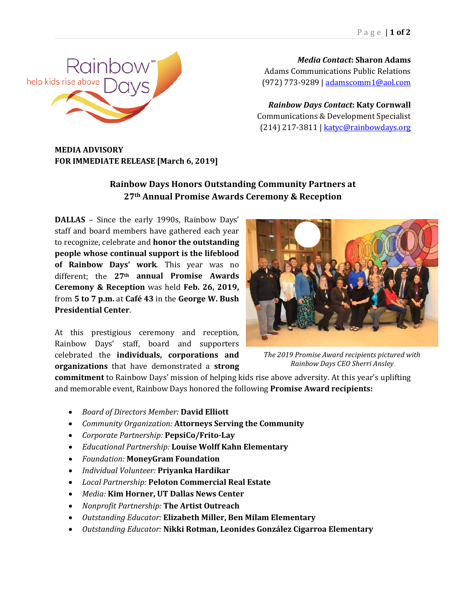

*Media Contact***: Sharon Adams** Adams Communications Public Relations (972) 773-9289 | [adamscomm1@aol.com](mailto:adamscomm1@aol.com)

*Rainbow Days Contact***: Katy Cornwall** Communications & Development Specialist (214) 217-3811 [| katyc@rainbowdays.org](mailto:katyc@rainbowdays.org)

## **MEDIA ADVISORY FOR IMMEDIATE RELEASE [March 6, 2019]**

## **Rainbow Days Honors Outstanding Community Partners at 27th Annual Promise Awards Ceremony & Reception**

**DALLAS** – Since the early 1990s, Rainbow Days' staff and board members have gathered each year to recognize, celebrate and **honor the outstanding people whose continual support is the lifeblood of Rainbow Days' work**. This year was no different; the **27th annual Promise Awards Ceremony & Reception** was held **Feb. 26, 2019,** from **5 to 7 p.m.** at **Café 43** in the **George W. Bush Presidential Center**.

At this prestigious ceremony and reception, Rainbow Days' staff, board and supporters celebrated the **individuals, corporations and organizations** that have demonstrated a **strong** 



*The 2019 Promise Award recipients pictured with Rainbow Days CEO Sherri Ansley*

**commitment** to Rainbow Days' mission of helping kids rise above adversity. At this year's uplifting and memorable event, Rainbow Days honored the following **Promise Award recipients:**

- *Board of Directors Member:* **David Elliott**
- *Community Organization:* **Attorneys Serving the Community**
- *Corporate Partnership:* **PepsiCo/Frito-Lay**
- *Educational Partnership:* **Louise Wolff Kahn Elementary**
- *Foundation:* **MoneyGram Foundation**
- *Individual Volunteer:* **Priyanka Hardikar**
- *Local Partnership:* **Peloton Commercial Real Estate**
- *Media:* **Kim Horner, UT Dallas News Center**
- *Nonprofit Partnership:* **The Artist Outreach**
- *Outstanding Educator:* **Elizabeth Miller, Ben Milam Elementary**
- *Outstanding Educator:* **Nikki Rotman, Leonides González Cigarroa Elementary**